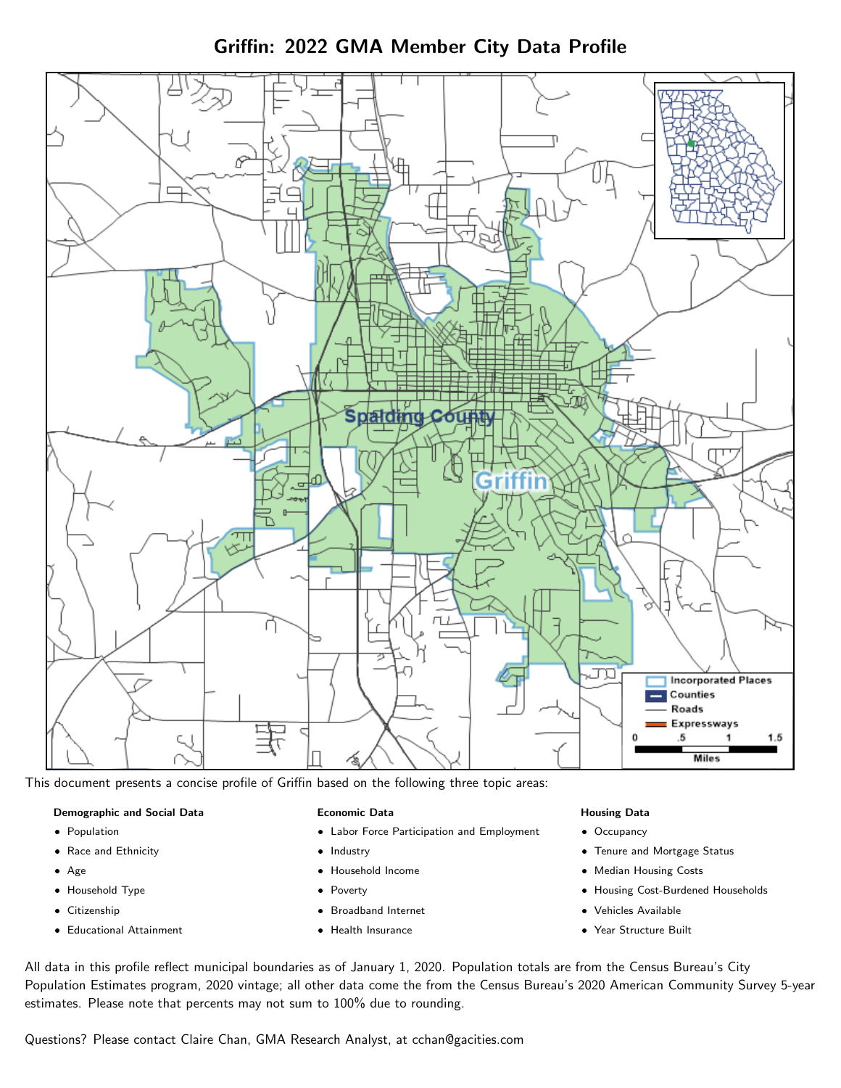

Griffin: 2022 GMA Member City Data Profile

This document presents a concise profile of Griffin based on the following three topic areas:

#### Demographic and Social Data

- **•** Population
- Race and Ethnicity
- Age
- Household Type
- **Citizenship**
- Educational Attainment

#### Economic Data

- Labor Force Participation and Employment
- Industry
- Household Income
- Poverty
- Broadband Internet
- Health Insurance

#### Housing Data

- Occupancy
- Tenure and Mortgage Status
- Median Housing Costs
- Housing Cost-Burdened Households
- Vehicles Available
- Year Structure Built

All data in this profile reflect municipal boundaries as of January 1, 2020. Population totals are from the Census Bureau's City Population Estimates program, 2020 vintage; all other data come the from the Census Bureau's 2020 American Community Survey 5-year estimates. Please note that percents may not sum to 100% due to rounding.

Questions? Please contact Claire Chan, GMA Research Analyst, at [cchan@gacities.com.](mailto:cchan@gacities.com)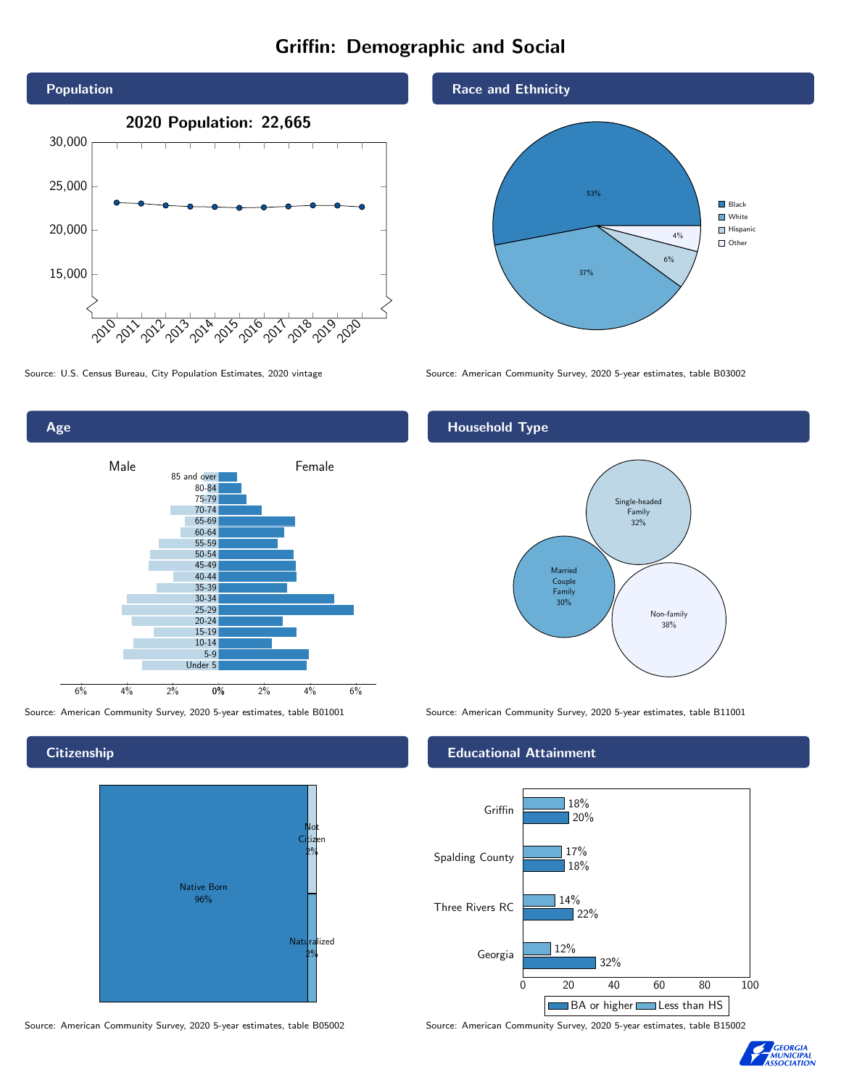# Griffin: Demographic and Social





### **Citizenship**



Source: American Community Survey, 2020 5-year estimates, table B05002 Source: American Community Survey, 2020 5-year estimates, table B15002





Source: U.S. Census Bureau, City Population Estimates, 2020 vintage Source: American Community Survey, 2020 5-year estimates, table B03002

# Household Type



Source: American Community Survey, 2020 5-year estimates, table B01001 Source: American Community Survey, 2020 5-year estimates, table B11001

#### Educational Attainment



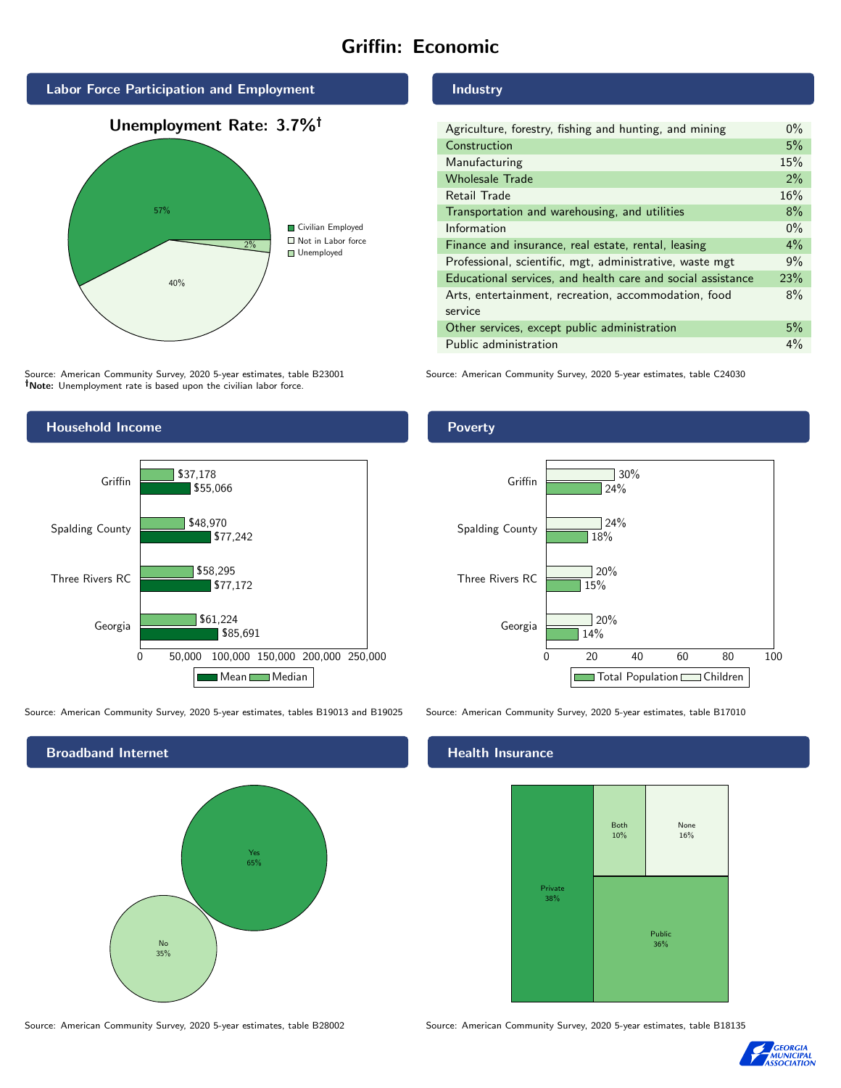# Griffin: Economic



Source: American Community Survey, 2020 5-year estimates, table B23001 Note: Unemployment rate is based upon the civilian labor force.

# Industry

| Agriculture, forestry, fishing and hunting, and mining      | $0\%$ |
|-------------------------------------------------------------|-------|
| Construction                                                | 5%    |
| Manufacturing                                               | 15%   |
| <b>Wholesale Trade</b>                                      | 2%    |
| Retail Trade                                                | 16%   |
| Transportation and warehousing, and utilities               | 8%    |
| Information                                                 | $0\%$ |
| Finance and insurance, real estate, rental, leasing         | 4%    |
| Professional, scientific, mgt, administrative, waste mgt    | 9%    |
| Educational services, and health care and social assistance | 23%   |
| Arts, entertainment, recreation, accommodation, food        | 8%    |
| service                                                     |       |
| Other services, except public administration                | 5%    |
| Public administration                                       | $4\%$ |

Source: American Community Survey, 2020 5-year estimates, table C24030



Source: American Community Survey, 2020 5-year estimates, tables B19013 and B19025 Source: American Community Survey, 2020 5-year estimates, table B17010



Poverty



## **Health Insurance**



Source: American Community Survey, 2020 5-year estimates, table B28002 Source: American Community Survey, 2020 5-year estimates, table B18135